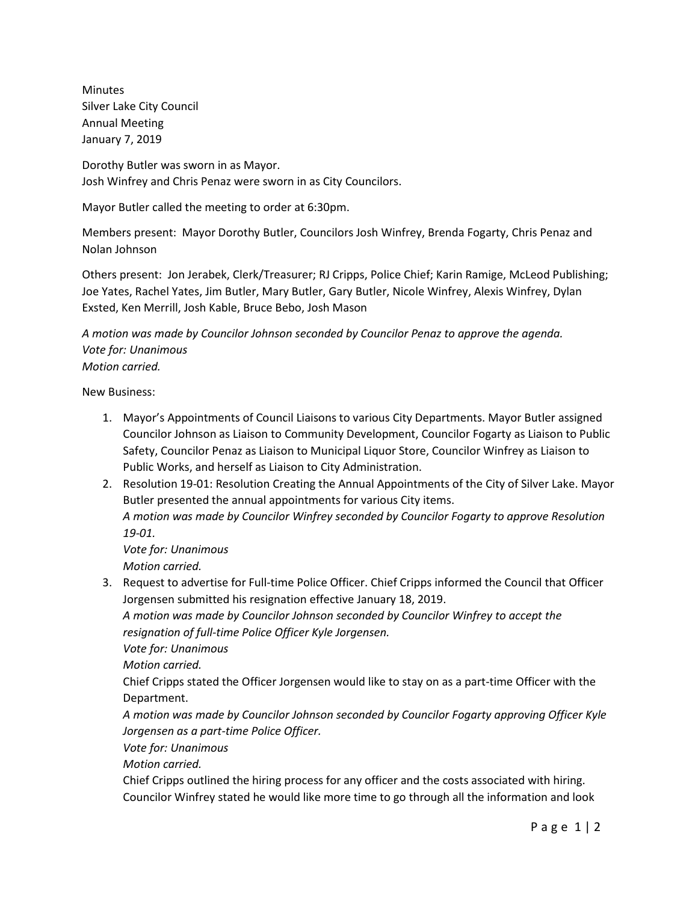Minutes Silver Lake City Council Annual Meeting January 7, 2019

Dorothy Butler was sworn in as Mayor. Josh Winfrey and Chris Penaz were sworn in as City Councilors.

Mayor Butler called the meeting to order at 6:30pm.

Members present: Mayor Dorothy Butler, Councilors Josh Winfrey, Brenda Fogarty, Chris Penaz and Nolan Johnson

Others present: Jon Jerabek, Clerk/Treasurer; RJ Cripps, Police Chief; Karin Ramige, McLeod Publishing; Joe Yates, Rachel Yates, Jim Butler, Mary Butler, Gary Butler, Nicole Winfrey, Alexis Winfrey, Dylan Exsted, Ken Merrill, Josh Kable, Bruce Bebo, Josh Mason

*A motion was made by Councilor Johnson seconded by Councilor Penaz to approve the agenda. Vote for: Unanimous Motion carried.*

New Business:

- 1. Mayor's Appointments of Council Liaisons to various City Departments. Mayor Butler assigned Councilor Johnson as Liaison to Community Development, Councilor Fogarty as Liaison to Public Safety, Councilor Penaz as Liaison to Municipal Liquor Store, Councilor Winfrey as Liaison to Public Works, and herself as Liaison to City Administration.
- 2. Resolution 19-01: Resolution Creating the Annual Appointments of the City of Silver Lake. Mayor Butler presented the annual appointments for various City items. *A motion was made by Councilor Winfrey seconded by Councilor Fogarty to approve Resolution 19-01.*

*Vote for: Unanimous*

*Motion carried.* 

3. Request to advertise for Full-time Police Officer. Chief Cripps informed the Council that Officer Jorgensen submitted his resignation effective January 18, 2019.

*A motion was made by Councilor Johnson seconded by Councilor Winfrey to accept the resignation of full-time Police Officer Kyle Jorgensen.*

*Vote for: Unanimous*

*Motion carried.* 

Chief Cripps stated the Officer Jorgensen would like to stay on as a part-time Officer with the Department.

*A motion was made by Councilor Johnson seconded by Councilor Fogarty approving Officer Kyle Jorgensen as a part-time Police Officer.*

*Vote for: Unanimous*

*Motion carried.*

Chief Cripps outlined the hiring process for any officer and the costs associated with hiring. Councilor Winfrey stated he would like more time to go through all the information and look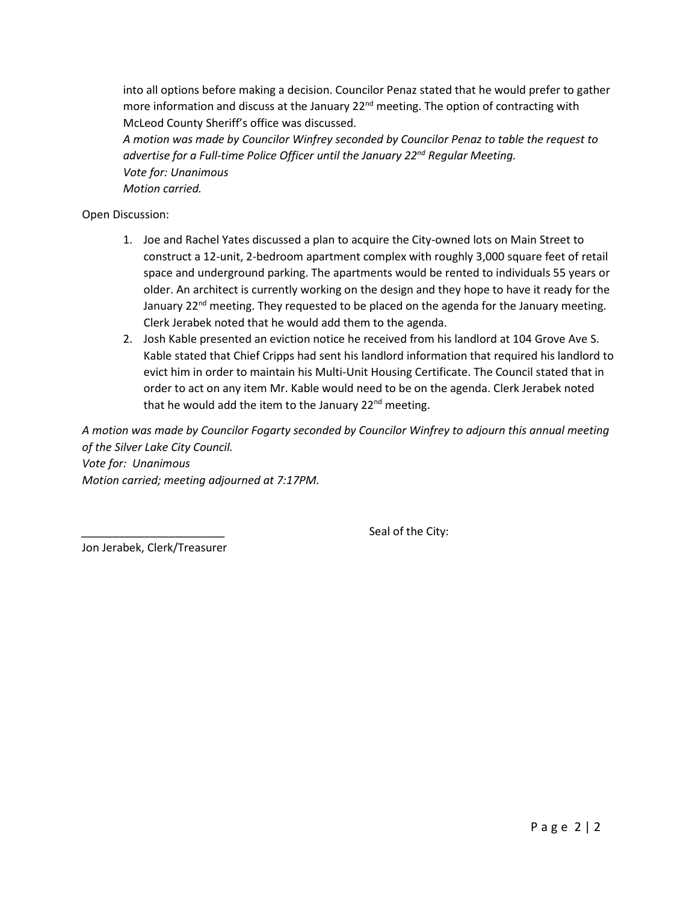into all options before making a decision. Councilor Penaz stated that he would prefer to gather more information and discuss at the January 22<sup>nd</sup> meeting. The option of contracting with McLeod County Sheriff's office was discussed.

*A motion was made by Councilor Winfrey seconded by Councilor Penaz to table the request to advertise for a Full-time Police Officer until the January 22nd Regular Meeting. Vote for: Unanimous Motion carried.*

Open Discussion:

- 1. Joe and Rachel Yates discussed a plan to acquire the City-owned lots on Main Street to construct a 12-unit, 2-bedroom apartment complex with roughly 3,000 square feet of retail space and underground parking. The apartments would be rented to individuals 55 years or older. An architect is currently working on the design and they hope to have it ready for the January  $22^{nd}$  meeting. They requested to be placed on the agenda for the January meeting. Clerk Jerabek noted that he would add them to the agenda.
- 2. Josh Kable presented an eviction notice he received from his landlord at 104 Grove Ave S. Kable stated that Chief Cripps had sent his landlord information that required his landlord to evict him in order to maintain his Multi-Unit Housing Certificate. The Council stated that in order to act on any item Mr. Kable would need to be on the agenda. Clerk Jerabek noted that he would add the item to the January 22<sup>nd</sup> meeting.

*A motion was made by Councilor Fogarty seconded by Councilor Winfrey to adjourn this annual meeting of the Silver Lake City Council. Vote for: Unanimous Motion carried; meeting adjourned at 7:17PM.*

Seal of the City:

Jon Jerabek, Clerk/Treasurer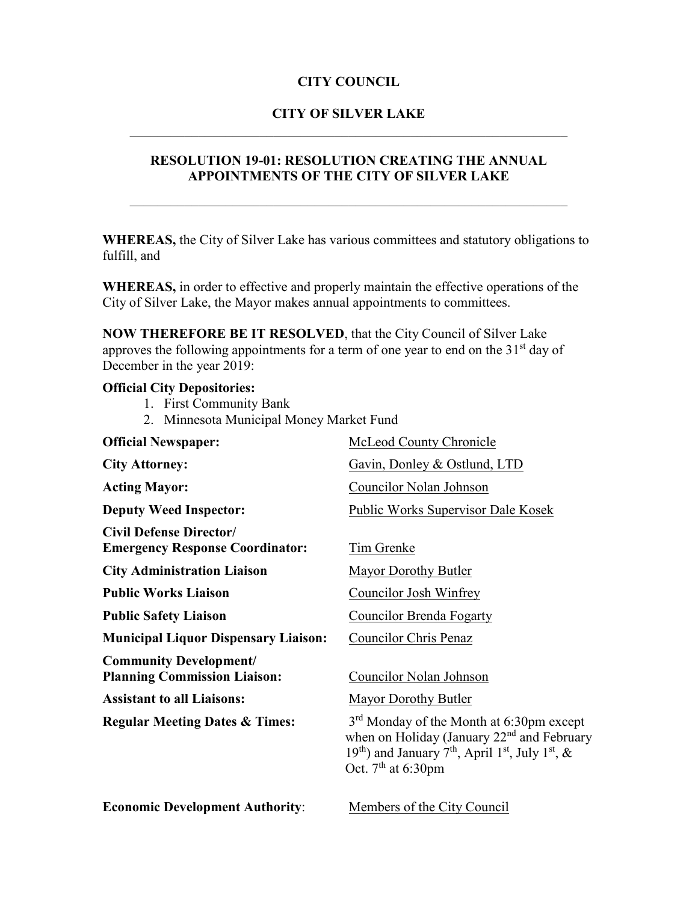## **CITY COUNCIL**

## **CITY OF SILVER LAKE** \_\_\_\_\_\_\_\_\_\_\_\_\_\_\_\_\_\_\_\_\_\_\_\_\_\_\_\_\_\_\_\_\_\_\_\_\_\_\_\_\_\_\_\_\_\_\_\_\_\_\_\_\_\_\_\_\_\_\_\_\_\_\_\_

## **RESOLUTION 19-01: RESOLUTION CREATING THE ANNUAL APPOINTMENTS OF THE CITY OF SILVER LAKE**

\_\_\_\_\_\_\_\_\_\_\_\_\_\_\_\_\_\_\_\_\_\_\_\_\_\_\_\_\_\_\_\_\_\_\_\_\_\_\_\_\_\_\_\_\_\_\_\_\_\_\_\_\_\_\_\_\_\_\_\_\_\_\_\_

**WHEREAS,** the City of Silver Lake has various committees and statutory obligations to fulfill, and

**WHEREAS,** in order to effective and properly maintain the effective operations of the City of Silver Lake, the Mayor makes annual appointments to committees.

**NOW THEREFORE BE IT RESOLVED**, that the City Council of Silver Lake approves the following appointments for a term of one year to end on the 31<sup>st</sup> day of December in the year 2019:

## **Official City Depositories:**

- 1. First Community Bank
- 2. Minnesota Municipal Money Market Fund

| <b>Official Newspaper:</b>                                               | McLeod County Chronicle                                                                                                                                                                                                           |
|--------------------------------------------------------------------------|-----------------------------------------------------------------------------------------------------------------------------------------------------------------------------------------------------------------------------------|
| <b>City Attorney:</b>                                                    | Gavin, Donley & Ostlund, LTD                                                                                                                                                                                                      |
| <b>Acting Mayor:</b>                                                     | Councilor Nolan Johnson                                                                                                                                                                                                           |
| <b>Deputy Weed Inspector:</b>                                            | <b>Public Works Supervisor Dale Kosek</b>                                                                                                                                                                                         |
| <b>Civil Defense Director/</b><br><b>Emergency Response Coordinator:</b> | Tim Grenke                                                                                                                                                                                                                        |
| <b>City Administration Liaison</b>                                       | <b>Mayor Dorothy Butler</b>                                                                                                                                                                                                       |
| <b>Public Works Liaison</b>                                              | Councilor Josh Winfrey                                                                                                                                                                                                            |
| <b>Public Safety Liaison</b>                                             | <b>Councilor Brenda Fogarty</b>                                                                                                                                                                                                   |
| <b>Municipal Liquor Dispensary Liaison:</b>                              | <b>Councilor Chris Penaz</b>                                                                                                                                                                                                      |
| <b>Community Development/</b><br><b>Planning Commission Liaison:</b>     | Councilor Nolan Johnson                                                                                                                                                                                                           |
| <b>Assistant to all Liaisons:</b>                                        | <b>Mayor Dorothy Butler</b>                                                                                                                                                                                                       |
| <b>Regular Meeting Dates &amp; Times:</b>                                | 3 <sup>rd</sup> Monday of the Month at 6:30pm except<br>when on Holiday (January $22nd$ and February<br>19 <sup>th</sup> ) and January 7 <sup>th</sup> , April 1 <sup>st</sup> , July 1 <sup>st</sup> , &<br>Oct. $7th$ at 6:30pm |
|                                                                          |                                                                                                                                                                                                                                   |

**Economic Development Authority:** Members of the City Council